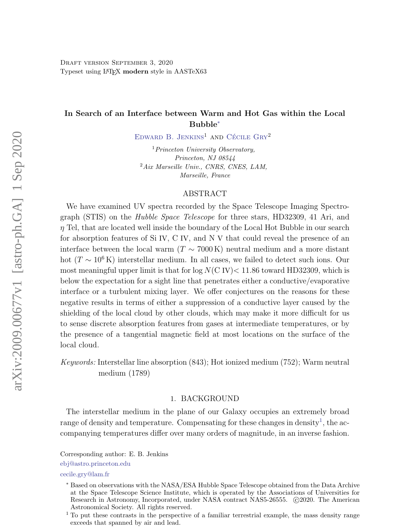[D](#page-0-0)raft version September 3, 2020 Typeset using LATEX modern style in AASTeX63

# In Search of an Interface between Warm and Hot Gas within the Local Bubble[∗](#page-0-2)

EDWARD B. JENKINS<sup>1</sup> AND CÉCILE  $\text{Gry}^2$ 

<sup>1</sup> Princeton University Observatory, Princeton, NJ 08544  $^{2}Aix$  Marseille Univ., CNRS, CNES, LAM, Marseille, France

### ABSTRACT

We have examined UV spectra recorded by the Space Telescope Imaging Spectrograph (STIS) on the Hubble Space Telescope for three stars, HD32309, 41 Ari, and  $\eta$  Tel, that are located well inside the boundary of the Local Hot Bubble in our search for absorption features of Si IV, C IV, and N V that could reveal the presence of an interface between the local warm ( $T \sim 7000 \text{ K}$ ) neutral medium and a more distant hot ( $T \sim 10^6$  K) interstellar medium. In all cases, we failed to detect such ions. Our most meaningful upper limit is that for  $log N(C IV) < 11.86$  toward HD32309, which is below the expectation for a sight line that penetrates either a conductive/evaporative interface or a turbulent mixing layer. We offer conjectures on the reasons for these negative results in terms of either a suppression of a conductive layer caused by the shielding of the local cloud by other clouds, which may make it more difficult for us to sense discrete absorption features from gases at intermediate temperatures, or by the presence of a tangential magnetic field at most locations on the surface of the local cloud.

Keywords: Interstellar line absorption (843); Hot ionized medium (752); Warm neutral medium (1789)

## 1. BACKGROUND

The interstellar medium in the plane of our Galaxy occupies an extremely broad range of density and temperature. Compensating for these changes in density<sup>[1](#page-0-3)</sup>, the accompanying temperatures differ over many orders of magnitude, in an inverse fashion.

<span id="page-0-0"></span>Corresponding author: E. B. Jenkins

<span id="page-0-1"></span>[ebj@astro.princeton.edu](mailto: ebj@astro.princeton.edu)

[cecile.gry@lam.fr](mailto: cecile.gry@lam.fr)

<span id="page-0-2"></span><sup>∗</sup> Based on observations with the NASA/ESA Hubble Space Telescope obtained from the Data Archive at the Space Telescope Science Institute, which is operated by the Associations of Universities for Research in Astronomy, Incorporated, under NASA contract NAS5-26555.  $\odot$ 2020. The American Astronomical Society. All rights reserved.

<span id="page-0-3"></span><sup>1</sup> To put these contrasts in the perspective of a familiar terrestrial example, the mass density range exceeds that spanned by air and lead.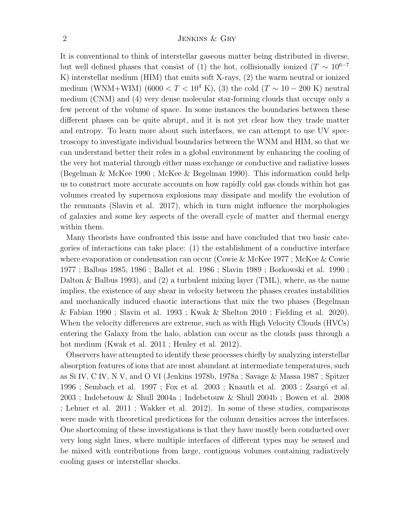It is conventional to think of interstellar gaseous matter being distributed in diverse, but well defined phases that consist of (1) the hot, collisionally ionized ( $T \sim 10^{6-7}$ K) interstellar medium (HIM) that emits soft X-rays, (2) the warm neutral or ionized medium (WNM+WIM) (6000 < T < 10<sup>4</sup> K), (3) the cold (T  $\sim$  10 – 200 K) neutral medium (CNM) and (4) very dense molecular star-forming clouds that occupy only a few percent of the volume of space. In some instances the boundaries between these different phases can be quite abrupt, and it is not yet clear how they trade matter and entropy. To learn more about such interfaces, we can attempt to use UV spectroscopy to investigate individual boundaries between the WNM and HIM, so that we can understand better their roles in a global environment by enhancing the cooling of the very hot material through either mass exchange or conductive and radiative losses (Begelman & McKee 1990 ; McKee & Begelman 1990). This information could help us to construct more accurate accounts on how rapidly cold gas clouds within hot gas volumes created by supernova explosions may dissipate and modify the evolution of the remnants (Slavin et al. 2017), which in turn might influence the morphologies of galaxies and some key aspects of the overall cycle of matter and thermal energy within them.

Many theorists have confronted this issue and have concluded that two basic categories of interactions can take place: (1) the establishment of a conductive interface where evaporation or condensation can occur (Cowie & McKee 1977 ; McKee & Cowie 1977 ; Balbus 1985, 1986 ; Ballet et al. 1986 ; Slavin 1989 ; Borkowski et al. 1990 ; Dalton & Balbus 1993), and (2) a turbulent mixing layer (TML), where, as the name implies, the existence of any shear in velocity between the phases creates instabilities and mechanically induced chaotic interactions that mix the two phases (Begelman & Fabian 1990 ; Slavin et al. 1993 ; Kwak & Shelton 2010 ; Fielding et al. 2020). When the velocity differences are extreme, such as with High Velocity Clouds (HVCs) entering the Galaxy from the halo, ablation can occur as the clouds pass through a hot medium (Kwak et al. 2011 ; Henley et al. 2012).

Observers have attempted to identify these processes chiefly by analyzing interstellar absorption features of ions that are most abundant at intermediate temperatures, such as Si IV, C IV, N V, and O VI (Jenkins 1978b, 1978a ; Savage & Massa 1987 ; Spitzer 1996 ; Sembach et al. 1997 ; Fox et al. 2003 ; Knauth et al. 2003 ; Zsargó et al. 2003 ; Indebetouw & Shull 2004a ; Indebetouw & Shull 2004b ; Bowen et al. 2008 ; Lehner et al. 2011 ; Wakker et al. 2012). In some of these studies, comparisons were made with theoretical predictions for the column densities across the interfaces. One shortcoming of these investigations is that they have mostly been conducted over very long sight lines, where multiple interfaces of different types may be sensed and be mixed with contributions from large, contiguous volumes containing radiatively cooling gases or interstellar shocks.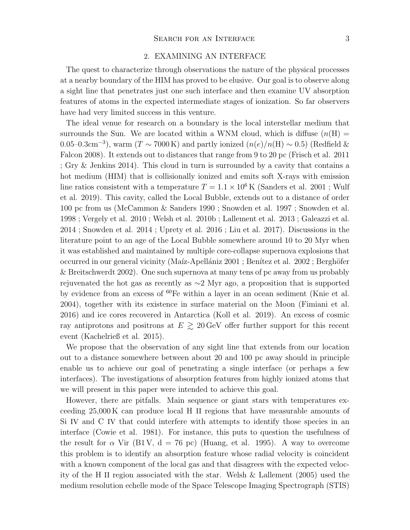## 2. EXAMINING AN INTERFACE

<span id="page-2-0"></span>The quest to characterize through observations the nature of the physical processes at a nearby boundary of the HIM has proved to be elusive. Our goal is to observe along a sight line that penetrates just one such interface and then examine UV absorption features of atoms in the expected intermediate stages of ionization. So far observers have had very limited success in this venture.

The ideal venue for research on a boundary is the local interstellar medium that surrounds the Sun. We are located within a WNM cloud, which is diffuse  $(n(H))$ 0.05–0.3cm<sup>-3</sup>), warm (T ~ 7000 K) and partly ionized  $(n(e)/n(H) \sim 0.5)$  (Redfield & Falcon 2008). It extends out to distances that range from 9 to 20 pc (Frisch et al. 2011 ; Gry & Jenkins 2014). This cloud in turn is surrounded by a cavity that contains a hot medium (HIM) that is collisionally ionized and emits soft X-rays with emission line ratios consistent with a temperature  $T = 1.1 \times 10^6$  K (Sanders et al. 2001 ; Wulf et al. 2019). This cavity, called the Local Bubble, extends out to a distance of order 100 pc from us (McCammon & Sanders 1990 ; Snowden et al. 1997 ; Snowden et al. 1998 ; Vergely et al. 2010 ; Welsh et al. 2010b ; Lallement et al. 2013 ; Galeazzi et al. 2014 ; Snowden et al. 2014 ; Uprety et al. 2016 ; Liu et al. 2017). Discussions in the literature point to an age of the Local Bubble somewhere around 10 to 20 Myr when it was established and maintained by multiple core-collapse supernova explosions that occurred in our general vicinity (Maíz-Apellániz 2001 ; Benítez et al. 2002 ; Berghöfer & Breitschwerdt 2002). One such supernova at many tens of pc away from us probably rejuvenated the hot gas as recently as ∼2 Myr ago, a proposition that is supported by evidence from an excess of <sup>60</sup>Fe within a layer in an ocean sediment (Knie et al. 2004), together with its existence in surface material on the Moon (Fimiani et al. 2016) and ice cores recovered in Antarctica (Koll et al. 2019). An excess of cosmic ray antiprotons and positrons at  $E \gtrsim 20 \,\text{GeV}$  offer further support for this recent event (Kachelrieß et al. 2015).

We propose that the observation of any sight line that extends from our location out to a distance somewhere between about 20 and 100 pc away should in principle enable us to achieve our goal of penetrating a single interface (or perhaps a few interfaces). The investigations of absorption features from highly ionized atoms that we will present in this paper were intended to achieve this goal.

However, there are pitfalls. Main sequence or giant stars with temperatures exceeding 25,000 K can produce local H II regions that have measurable amounts of Si IV and C IV that could interfere with attempts to identify those species in an interface (Cowie et al. 1981). For instance, this puts to question the usefulness of the result for  $\alpha$  Vir (B1V, d = 76 pc) (Huang, et al. 1995). A way to overcome this problem is to identify an absorption feature whose radial velocity is coincident with a known component of the local gas and that disagrees with the expected velocity of the H II region associated with the star. Welsh & Lallement (2005) used the medium resolution echelle mode of the Space Telescope Imaging Spectrograph (STIS)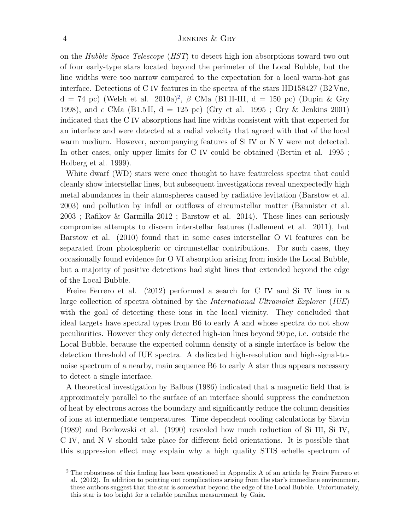on the Hubble Space Telescope (HST) to detect high ion absorptions toward two out of four early-type stars located beyond the perimeter of the Local Bubble, but the line widths were too narrow compared to the expectation for a local warm-hot gas interface. Detections of C IV features in the spectra of the stars HD158427 (B2 Vne,  $d = 74$  pc) (Welsh et al. [2](#page-3-0)010a)<sup>2</sup>,  $\beta$  CMa (B1 II-III,  $d = 150$  pc) (Dupin & Gry 1998), and  $\epsilon$  CMa (B1.5II, d = 125 pc) (Gry et al. 1995; Gry & Jenkins 2001) indicated that the C IV absorptions had line widths consistent with that expected for an interface and were detected at a radial velocity that agreed with that of the local warm medium. However, accompanying features of Si IV or N V were not detected. In other cases, only upper limits for C IV could be obtained (Bertin et al. 1995 ; Holberg et al. 1999).

White dwarf (WD) stars were once thought to have featureless spectra that could cleanly show interstellar lines, but subsequent investigations reveal unexpectedly high metal abundances in their atmospheres caused by radiative levitation (Barstow et al. 2003) and pollution by infall or outflows of circumstellar matter (Bannister et al. 2003 ; Rafikov & Garmilla 2012 ; Barstow et al. 2014). These lines can seriously compromise attempts to discern interstellar features (Lallement et al. 2011), but Barstow et al. (2010) found that in some cases interstellar O VI features can be separated from photospheric or circumstellar contributions. For such cases, they occasionally found evidence for O VI absorption arising from inside the Local Bubble, but a majority of positive detections had sight lines that extended beyond the edge of the Local Bubble.

Freire Ferrero et al. (2012) performed a search for C IV and Si IV lines in a large collection of spectra obtained by the *International Ultraviolet Explorer* (*IUE*) with the goal of detecting these ions in the local vicinity. They concluded that ideal targets have spectral types from B6 to early A and whose spectra do not show peculiarities. However they only detected high-ion lines beyond 90 pc, i.e. outside the Local Bubble, because the expected column density of a single interface is below the detection threshold of IUE spectra. A dedicated high-resolution and high-signal-tonoise spectrum of a nearby, main sequence B6 to early A star thus appears necessary to detect a single interface.

A theoretical investigation by Balbus (1986) indicated that a magnetic field that is approximately parallel to the surface of an interface should suppress the conduction of heat by electrons across the boundary and significantly reduce the column densities of ions at intermediate temperatures. Time dependent cooling calculations by Slavin (1989) and Borkowski et al. (1990) revealed how much reduction of Si III, Si IV, C IV, and N V should take place for different field orientations. It is possible that this suppression effect may explain why a high quality STIS echelle spectrum of

<span id="page-3-0"></span><sup>&</sup>lt;sup>2</sup> The robustness of this finding has been questioned in Appendix A of an article by Freire Ferrero et al. (2012). In addition to pointing out complications arising from the star's immediate environment, these authors suggest that the star is somewhat beyond the edge of the Local Bubble. Unfortunately, this star is too bright for a reliable parallax measurement by Gaia.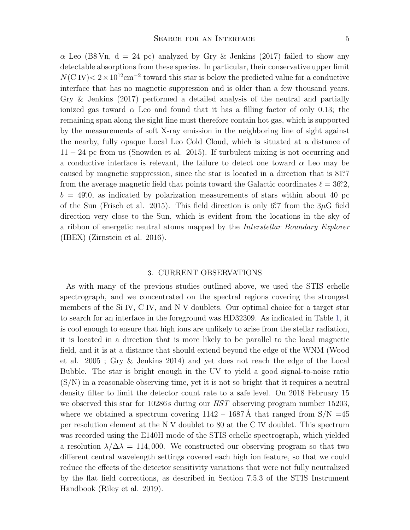$\alpha$  Leo (B8 Vn, d = 24 pc) analyzed by Gry & Jenkins (2017) failed to show any detectable absorptions from these species. In particular, their conservative upper limit  $N(\text{C IV}) < 2 \times 10^{12} \text{cm}^{-2}$  toward this star is below the predicted value for a conductive interface that has no magnetic suppression and is older than a few thousand years. Gry & Jenkins (2017) performed a detailed analysis of the neutral and partially ionized gas toward  $\alpha$  Leo and found that it has a filling factor of only 0.13; the remaining span along the sight line must therefore contain hot gas, which is supported by the measurements of soft X-ray emission in the neighboring line of sight against the nearby, fully opaque Local Leo Cold Cloud, which is situated at a distance of 11 − 24 pc from us (Snowden et al. 2015). If turbulent mixing is not occurring and a conductive interface is relevant, the failure to detect one toward  $\alpha$  Leo may be caused by magnetic suppression, since the star is located in a direction that is 81°.7 from the average magnetic field that points toward the Galactic coordinates  $\ell = 36.2$ ,  $b = 49.0$ , as indicated by polarization measurements of stars within about 40 pc of the Sun (Frisch et al. 2015). This field direction is only 6°.7 from the  $3\mu$ G field direction very close to the Sun, which is evident from the locations in the sky of a ribbon of energetic neutral atoms mapped by the Interstellar Boundary Explorer (IBEX) (Zirnstein et al. 2016).

## 3. CURRENT OBSERVATIONS

As with many of the previous studies outlined above, we used the STIS echelle spectrograph, and we concentrated on the spectral regions covering the strongest members of the Si IV, C IV, and N V doublets. Our optimal choice for a target star to search for an interface in the foreground was HD32309. As indicated in Table [1,](#page-5-0) it is cool enough to ensure that high ions are unlikely to arise from the stellar radiation, it is located in a direction that is more likely to be parallel to the local magnetic field, and it is at a distance that should extend beyond the edge of the WNM (Wood et al. 2005 ; Gry & Jenkins 2014) and yet does not reach the edge of the Local Bubble. The star is bright enough in the UV to yield a good signal-to-noise ratio  $(S/N)$  in a reasonable observing time, yet it is not so bright that it requires a neutral density filter to limit the detector count rate to a safe level. On 2018 February 15 we observed this star for 10286 s during our *HST* observing program number 15203, where we obtained a spectrum covering  $1142 - 1687 \text{\AA}$  that ranged from  $S/N = 45$ per resolution element at the N V doublet to 80 at the C IV doublet. This spectrum was recorded using the E140H mode of the STIS echelle spectrograph, which yielded a resolution  $\lambda/\Delta\lambda = 114,000$ . We constructed our observing program so that two different central wavelength settings covered each high ion feature, so that we could reduce the effects of the detector sensitivity variations that were not fully neutralized by the flat field corrections, as described in Section 7.5.3 of the STIS Instrument Handbook (Riley et al. 2019).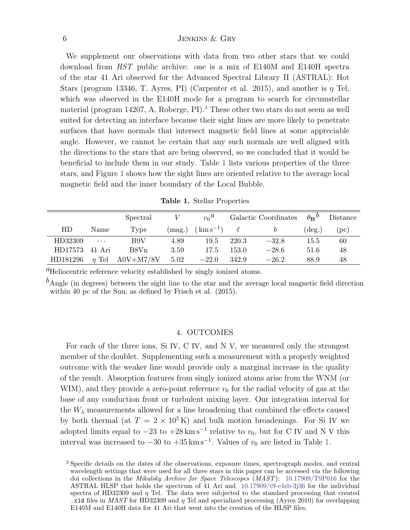We supplement our observations with data from two other stars that we could download from HST public archive: one is a mix of E140M and E140H spectra of the star 41 Ari observed for the Advanced Spectral Library II (ASTRAL): Hot Stars (program 13346, T. Ayres, PI) (Carpenter et al. 2015), and another is  $\eta$  Tel, which was observed in the E140H mode for a program to search for circumstellar material (program 14207, A. Roberge, PI).<sup>[3](#page-5-1)</sup> These other two stars do not seem as well suited for detecting an interface because their sight lines are more likely to penetrate surfaces that have normals that intersect magnetic field lines at some appreciable angle. However, we cannot be certain that any such normals are well aligned with the directions to the stars that are being observed, so we concluded that it would be beneficial to include them in our study. Table [1](#page-5-0) lists various properties of the three stars, and Figure [1](#page-6-0) shows how the sight lines are oriented relative to the average local magnetic field and the inner boundary of the Local Bubble.

<span id="page-5-0"></span>

| Table 1. Stellar Properties |  |  |
|-----------------------------|--|--|
|-----------------------------|--|--|

|                |            | Spectral    |                 | $v_0^a$       |       | Galactic Coordinates | $\theta_{\mathbf{B}}{}^{\theta}$ | Distance   |
|----------------|------------|-------------|-----------------|---------------|-------|----------------------|----------------------------------|------------|
| HD             | Name       | Type        | $(\text{mag.})$ | $(km s^{-1})$ |       |                      | $(\text{deg.})$                  | $($ pc $)$ |
| HD32309        | $\cdots$   | B9V         | 4.89            | 19.5          | 220.3 | $-32.8$              | 15.5                             | 60         |
| HD17573 41 Ari |            | B8Vn        | 3.59            | 17.5          | 153.0 | $-28.6$              | 51.6                             | 48         |
| HD181296       | $\eta$ Tel | $A0V+M7/8V$ | 5.02            | $-22.0$       | 342.9 | $-26.2$              | 88.9                             | 48         |

 ${}^{a}$ Heliocentric reference velocity established by singly ionized atoms.

 $<sup>b</sup>$ Angle (in degrees) between the sight line to the star and the average local magnetic field direction</sup> within 40 pc of the Sun, as defined by Frisch et al. (2015).

## 4. OUTCOMES

For each of the three ions, Si IV, C IV, and N V, we measured only the strongest member of the doublet. Supplementing such a measurement with a properly weighted outcome with the weaker line would provide only a marginal increase in the quality of the result. Absorption features from singly ionized atoms arise from the WNM (or WIM), and they provide a zero-point reference  $v_0$  for the radial velocity of gas at the base of any conduction front or turbulent mixing layer. Our integration interval for the  $W_{\lambda}$  measurements allowed for a line broadening that combined the effects caused by both thermal (at  $T = 2 \times 10^5$  K) and bulk motion broadenings. For Si IV we adopted limits equal to  $-23$  to  $+28 \text{ km s}^{-1}$  relative to  $v_0$ , but for C IV and N V this interval was increased to  $-30$  to  $+35 \text{ km s}^{-1}$ . Values of  $v_0$  are listed in Table [1.](#page-5-0)

<span id="page-5-1"></span><sup>3</sup> Specific details on the dates of the observations, exposure times, spectrograph modes, and central wavelength settings that were used for all three stars in this paper can be accessed via the following doi collections in the Mikulsky Archive for Space Telescopes (MAST): [10.17909/T9P016](https://doi.org/10.17909/T9P016) for the ASTRAL HLSP that holds the spectrum of 41 Ari and [10.17909/t9-c4zb-3j36](https://doi.org/10.17909/t9-c4zb-3j36) for the individual spectra of HD32309 and  $\eta$  Tel. The data were subjected to the standard processing that created .x1d files in MAST for HD32309 and  $\eta$  Tel and specialized processing (Ayres 2010) for overlapping E140M and E140H data for 41 Ari that went into the creation of the HLSP files.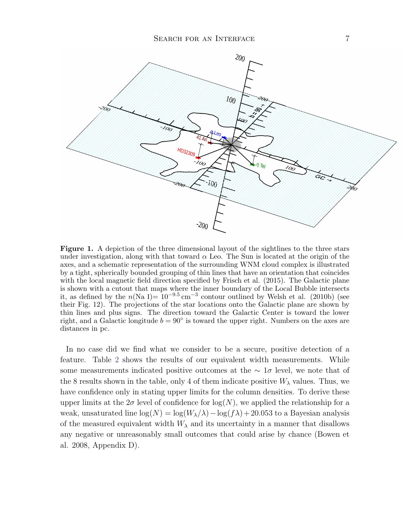

<span id="page-6-0"></span>Figure 1. A depiction of the three dimensional layout of the sightlines to the three stars under investigation, along with that toward  $\alpha$  Leo. The Sun is located at the origin of the axes, and a schematic representation of the surrounding WNM cloud complex is illustrated by a tight, spherically bounded grouping of thin lines that have an orientation that coincides with the local magnetic field direction specified by Frisch et al. (2015). The Galactic plane is shown with a cutout that maps where the inner boundary of the Local Bubble intersects it, as defined by the  $n(Na I)=10^{-9.5} \text{ cm}^{-3}$  contour outlined by Welsh et al. (2010b) (see their Fig. 12). The projections of the star locations onto the Galactic plane are shown by thin lines and plus signs. The direction toward the Galactic Center is toward the lower right, and a Galactic longitude  $b = 90^{\circ}$  is toward the upper right. Numbers on the axes are distances in pc.

In no case did we find what we consider to be a secure, positive detection of a feature. Table [2](#page-7-0) shows the results of our equivalent width measurements. While some measurements indicated positive outcomes at the  $\sim 1\sigma$  level, we note that of the 8 results shown in the table, only 4 of them indicate positive  $W_{\lambda}$  values. Thus, we have confidence only in stating upper limits for the column densities. To derive these upper limits at the  $2\sigma$  level of confidence for  $\log(N)$ , we applied the relationship for a weak, unsaturated line  $\log(N) = \log(W_\lambda/\lambda) - \log(f\lambda) + 20.053$  to a Bayesian analysis of the measured equivalent width  $W_{\lambda}$  and its uncertainty in a manner that disallows any negative or unreasonably small outcomes that could arise by chance (Bowen et al. 2008, Appendix D).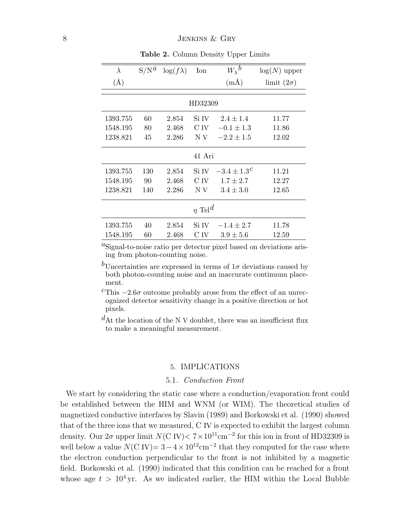| $\lambda$               | $S/N^a$ | $\log(f\lambda)$ | Ion   | $W_{\lambda}{}^{b}$ | $log(N)$ upper    |  |  |  |
|-------------------------|---------|------------------|-------|---------------------|-------------------|--|--|--|
| $(\AA)$                 |         |                  |       | $(m\AA)$            | limit $(2\sigma)$ |  |  |  |
| HD32309                 |         |                  |       |                     |                   |  |  |  |
| 1393.755                | 60      | 2.854            | Si IV | $2.4 \pm 1.4$       | 11.77             |  |  |  |
| 1548.195                | 80      | 2.468            | C IV  | $-0.1 \pm 1.3$      | 11.86             |  |  |  |
| 1238.821                | 45      | 2.286            | N V   | $-2.2 \pm 1.5$      | 12.02             |  |  |  |
| 41 Ari                  |         |                  |       |                     |                   |  |  |  |
| 1393.755                | 130     | 2.854            | Si IV | $-3.4 \pm 1.3^{C}$  | 11.21             |  |  |  |
| 1548.195                | 90      | 2.468            | C IV  | $1.7 \pm 2.7$       | 12.27             |  |  |  |
| 1238.821                | 140     | 2.286            | N V   | $3.4 \pm 3.0$       | 12.65             |  |  |  |
| $\eta$ Tel <sup>d</sup> |         |                  |       |                     |                   |  |  |  |
| 1393.755                | 40      | 2.854            | Si IV | $-1.4 \pm 2.7$      | 11.78             |  |  |  |
| 1548.195                | 60      | 2.468            | C IV  | $3.9 \pm 5.6$       | 12.59             |  |  |  |

<span id="page-7-0"></span>Table 2. Column Density Upper Limits

 ${}^{a}$ Signal-to-noise ratio per detector pixel based on deviations arising from photon-counting noise.

<sup>b</sup>Uncertainties are expressed in terms of  $1\sigma$  deviations caused by both photon-counting noise and an inaccurate continuum placement.

 $c$ This  $-2.6\sigma$  outcome probably arose from the effect of an unrecognized detector sensitivity change in a positive direction or hot pixels.

 $d$ At the location of the N V doublet, there was an insufficient flux to make a meaningful measurement.

### 5. IMPLICATIONS

## 5.1. Conduction Front

We start by considering the static case where a conduction/evaporation front could be established between the HIM and WNM (or WIM). The theoretical studies of magnetized conductive interfaces by Slavin (1989) and Borkowski et al. (1990) showed that of the three ions that we measured, C IV is expected to exhibit the largest column density. Our  $2\sigma$  upper limit  $N(\text{C IV}) < 7 \times 10^{11} \text{cm}^{-2}$  for this ion in front of HD32309 is well below a value  $N(\text{C IV}) = 3 - 4 \times 10^{12} \text{cm}^{-2}$  that they computed for the case where the electron conduction perpendicular to the front is not inhibited by a magnetic field. Borkowski et al. (1990) indicated that this condition can be reached for a front whose age  $t > 10^4$  yr. As we indicated earlier, the HIM within the Local Bubble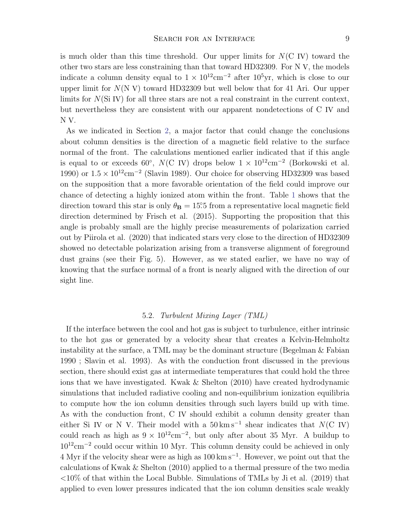is much older than this time threshold. Our upper limits for  $N(C IV)$  toward the other two stars are less constraining than that toward HD32309. For N V, the models indicate a column density equal to  $1 \times 10^{12}$ cm<sup>-2</sup> after  $10^5$ yr, which is close to our upper limit for  $N(N V)$  toward HD32309 but well below that for 41 Ari. Our upper limits for  $N(Si IV)$  for all three stars are not a real constraint in the current context, but nevertheless they are consistent with our apparent nondetections of C IV and N V.

As we indicated in Section [2,](#page-2-0) a major factor that could change the conclusions about column densities is the direction of a magnetic field relative to the surface normal of the front. The calculations mentioned earlier indicated that if this angle is equal to or exceeds 60<sup>°</sup>,  $N(\text{C IV})$  drops below  $1 \times 10^{12} \text{cm}^{-2}$  (Borkowski et al. 1990) or  $1.5 \times 10^{12}$ cm<sup>-2</sup> (Slavin 1989). Our choice for observing HD32309 was based on the supposition that a more favorable orientation of the field could improve our chance of detecting a highly ionized atom within the front. Table [1](#page-5-0) shows that the direction toward this star is only  $\theta_{\mathbf{B}} = 15^\circ 5$  from a representative local magnetic field direction determined by Frisch et al. (2015). Supporting the proposition that this angle is probably small are the highly precise measurements of polarization carried out by Piirola et al. (2020) that indicated stars very close to the direction of HD32309 showed no detectable polarization arising from a transverse alignment of foreground dust grains (see their Fig. 5). However, as we stated earlier, we have no way of knowing that the surface normal of a front is nearly aligned with the direction of our sight line.

#### 5.2. Turbulent Mixing Layer (TML)

If the interface between the cool and hot gas is subject to turbulence, either intrinsic to the hot gas or generated by a velocity shear that creates a Kelvin-Helmholtz instability at the surface, a TML may be the dominant structure (Begelman & Fabian 1990 ; Slavin et al. 1993). As with the conduction front discussed in the previous section, there should exist gas at intermediate temperatures that could hold the three ions that we have investigated. Kwak & Shelton (2010) have created hydrodynamic simulations that included radiative cooling and non-equilibrium ionization equilibria to compute how the ion column densities through such layers build up with time. As with the conduction front, C IV should exhibit a column density greater than either Si IV or N V. Their model with a  $50 \text{ km s}^{-1}$  shear indicates that  $N(\text{C IV})$ could reach as high as  $9 \times 10^{12}$ cm<sup>-2</sup>, but only after about 35 Myr. A buildup to 10<sup>12</sup>cm<sup>−</sup><sup>2</sup> could occur within 10 Myr. This column density could be achieved in only 4 Myr if the velocity shear were as high as 100 km s<sup>−</sup><sup>1</sup> . However, we point out that the calculations of Kwak & Shelton (2010) applied to a thermal pressure of the two media  $\langle 10\%$  of that within the Local Bubble. Simulations of TMLs by Ji et al. (2019) that applied to even lower pressures indicated that the ion column densities scale weakly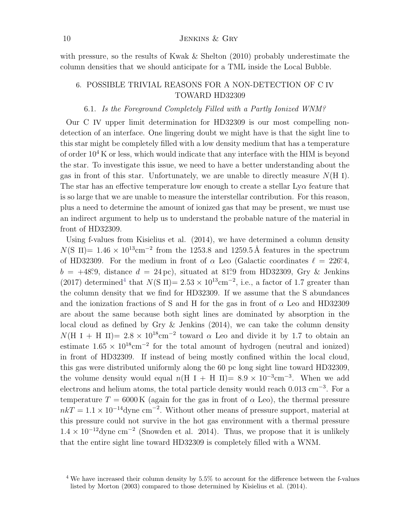### 10 JENKINS & GRY

with pressure, so the results of Kwak & Shelton (2010) probably underestimate the column densities that we should anticipate for a TML inside the Local Bubble.

# 6. POSSIBLE TRIVIAL REASONS FOR A NON-DETECTION OF C IV TOWARD HD32309

## 6.1. Is the Foreground Completely Filled with a Partly Ionized WNM?

Our C IV upper limit determination for HD32309 is our most compelling nondetection of an interface. One lingering doubt we might have is that the sight line to this star might be completely filled with a low density medium that has a temperature of order  $10^4$  K or less, which would indicate that any interface with the HIM is beyond the star. To investigate this issue, we need to have a better understanding about the gas in front of this star. Unfortunately, we are unable to directly measure  $N(H I)$ . The star has an effective temperature low enough to create a stellar  $Ly\alpha$  feature that is so large that we are unable to measure the interstellar contribution. For this reason, plus a need to determine the amount of ionized gas that may be present, we must use an indirect argument to help us to understand the probable nature of the material in front of HD32309.

Using f-values from Kisielius et al. (2014), we have determined a column density  $N(S \text{ II}) = 1.46 \times 10^{13} \text{cm}^{-2}$  from the 1253.8 and 1259.5 Å features in the spectrum of HD32309. For the medium in front of  $\alpha$  Leo (Galactic coordinates  $\ell = 226^{\circ}4$ ,  $b = +48^\circ$ 9, distance  $d = 24 \,\text{pc}$ , situated at 81°.9 from HD32309, Gry & Jenkins (2017) determined<sup>[4](#page-9-0)</sup> that  $N(S \text{ II}) = 2.53 \times 10^{13} \text{cm}^{-2}$ , i.e., a factor of 1.7 greater than the column density that we find for HD32309. If we assume that the S abundances and the ionization fractions of S and H for the gas in front of  $\alpha$  Leo and HD32309 are about the same because both sight lines are dominated by absorption in the local cloud as defined by Gry  $\&$  Jenkins (2014), we can take the column density  $N(H I + H II) = 2.8 \times 10^{18} \text{cm}^{-2}$  toward  $\alpha$  Leo and divide it by 1.7 to obtain an estimate  $1.65 \times 10^{18}$ cm<sup>-2</sup> for the total amount of hydrogen (neutral and ionized) in front of HD32309. If instead of being mostly confined within the local cloud, this gas were distributed uniformly along the 60 pc long sight line toward HD32309, the volume density would equal  $n(H I + H II) = 8.9 \times 10^{-3} \text{cm}^{-3}$ . When we add electrons and helium atoms, the total particle density would reach 0.013 cm<sup>-3</sup>. For a temperature  $T = 6000 \text{ K}$  (again for the gas in front of  $\alpha$  Leo), the thermal pressure  $nkT = 1.1 \times 10^{-14}$ dyne cm<sup>-2</sup>. Without other means of pressure support, material at this pressure could not survive in the hot gas environment with a thermal pressure  $1.4 \times 10^{-12}$ dyne cm<sup>-2</sup> (Snowden et al. 2014). Thus, we propose that it is unlikely that the entire sight line toward HD32309 is completely filled with a WNM.

<span id="page-9-0"></span><sup>&</sup>lt;sup>4</sup> We have increased their column density by 5.5% to account for the difference between the f-values listed by Morton (2003) compared to those determined by Kisielius et al. (2014).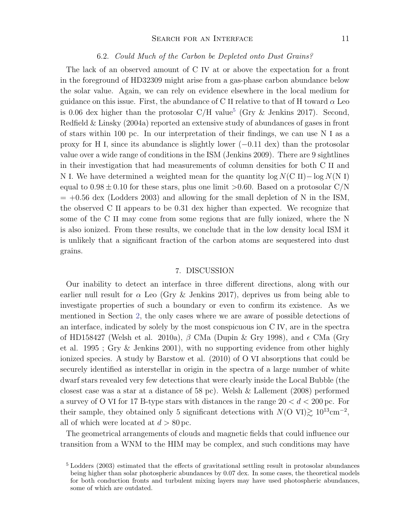#### SEARCH FOR AN INTERFACE 11

#### 6.2. Could Much of the Carbon be Depleted onto Dust Grains?

The lack of an observed amount of C IV at or above the expectation for a front in the foreground of HD32309 might arise from a gas-phase carbon abundance below the solar value. Again, we can rely on evidence elsewhere in the local medium for guidance on this issue. First, the abundance of C II relative to that of H toward  $\alpha$  Leo is 0.06 dex higher than the protosolar  $C/H$  value<sup>[5](#page-10-0)</sup> (Gry & Jenkins 2017). Second, Redfield & Linsky (2004a) reported an extensive study of abundances of gases in front of stars within 100 pc. In our interpretation of their findings, we can use N I as a proxy for H<sub>I</sub>, since its abundance is slightly lower  $(-0.11 \text{ dex})$  than the protosolar value over a wide range of conditions in the ISM (Jenkins 2009). There are 9 sightlines in their investigation that had measurements of column densities for both C II and N I. We have determined a weighted mean for the quantity  $\log N$ (C II) –  $\log N$ (N I) equal to  $0.98 \pm 0.10$  for these stars, plus one limit  $> 0.60$ . Based on a protosolar C/N  $= +0.56$  dex (Lodders 2003) and allowing for the small depletion of N in the ISM, the observed C II appears to be 0.31 dex higher than expected. We recognize that some of the C II may come from some regions that are fully ionized, where the N is also ionized. From these results, we conclude that in the low density local ISM it is unlikely that a significant fraction of the carbon atoms are sequestered into dust grains.

#### 7. DISCUSSION

Our inability to detect an interface in three different directions, along with our earlier null result for  $\alpha$  Leo (Gry & Jenkins 2017), deprives us from being able to investigate properties of such a boundary or even to confirm its existence. As we mentioned in Section [2,](#page-2-0) the only cases where we are aware of possible detections of an interface, indicated by solely by the most conspicuous ion C IV, are in the spectra of HD158427 (Welsh et al. 2010a),  $\beta$  CMa (Dupin & Gry 1998), and  $\epsilon$  CMa (Gry et al. 1995 ; Gry & Jenkins 2001), with no supporting evidence from other highly ionized species. A study by Barstow et al. (2010) of O VI absorptions that could be securely identified as interstellar in origin in the spectra of a large number of white dwarf stars revealed very few detections that were clearly inside the Local Bubble (the closest case was a star at a distance of  $58 \text{ pc}$ . Welsh & Lallement (2008) performed a survey of O VI for 17 B-type stars with distances in the range  $20 < d < 200$  pc. For their sample, they obtained only 5 significant detections with  $N(O \text{ VI}) \gtrsim 10^{13} \text{cm}^{-2}$ , all of which were located at  $d > 80$  pc.

The geometrical arrangements of clouds and magnetic fields that could influence our transition from a WNM to the HIM may be complex, and such conditions may have

<span id="page-10-0"></span><sup>5</sup> Lodders (2003) estimated that the effects of gravitational settling result in protosolar abundances being higher than solar photospheric abundances by 0.07 dex. In some cases, the theoretical models for both conduction fronts and turbulent mixing layers may have used photospheric abundances, some of which are outdated.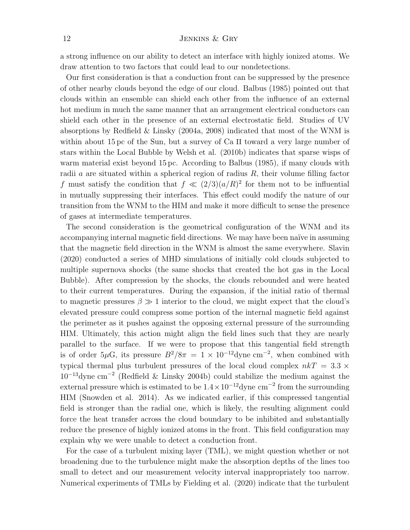a strong influence on our ability to detect an interface with highly ionized atoms. We draw attention to two factors that could lead to our nondetections.

Our first consideration is that a conduction front can be suppressed by the presence of other nearby clouds beyond the edge of our cloud. Balbus (1985) pointed out that clouds within an ensemble can shield each other from the influence of an external hot medium in much the same manner that an arrangement electrical conductors can shield each other in the presence of an external electrostatic field. Studies of UV absorptions by Redfield & Linsky (2004a, 2008) indicated that most of the WNM is within about 15 pc of the Sun, but a survey of Ca II toward a very large number of stars within the Local Bubble by Welsh et al. (2010b) indicates that sparse wisps of warm material exist beyond 15 pc. According to Balbus (1985), if many clouds with radii a are situated within a spherical region of radius  $R$ , their volume filling factor f must satisfy the condition that  $f \ll (2/3)(a/R)^2$  for them not to be influential in mutually suppressing their interfaces. This effect could modify the nature of our transition from the WNM to the HIM and make it more difficult to sense the presence of gases at intermediate temperatures.

The second consideration is the geometrical configuration of the WNM and its accompanying internal magnetic field directions. We may have been naïve in assuming that the magnetic field direction in the WNM is almost the same everywhere. Slavin (2020) conducted a series of MHD simulations of initially cold clouds subjected to multiple supernova shocks (the same shocks that created the hot gas in the Local Bubble). After compression by the shocks, the clouds rebounded and were heated to their current temperatures. During the expansion, if the initial ratio of thermal to magnetic pressures  $\beta \gg 1$  interior to the cloud, we might expect that the cloud's elevated pressure could compress some portion of the internal magnetic field against the perimeter as it pushes against the opposing external pressure of the surrounding HIM. Ultimately, this action might align the field lines such that they are nearly parallel to the surface. If we were to propose that this tangential field strength is of order  $5\mu$ G, its pressure  $B^2/8\pi = 1 \times 10^{-12}$ dyne cm<sup>-2</sup>, when combined with typical thermal plus turbulent pressures of the local cloud complex  $nkT = 3.3 \times$  $10^{-13}$ dyne cm<sup>-2</sup> (Redfield & Linsky 2004b) could stabilize the medium against the external pressure which is estimated to be  $1.4 \times 10^{-12}$  dyne cm<sup>-2</sup> from the surrounding HIM (Snowden et al. 2014). As we indicated earlier, if this compressed tangential field is stronger than the radial one, which is likely, the resulting alignment could force the heat transfer across the cloud boundary to be inhibited and substantially reduce the presence of highly ionized atoms in the front. This field configuration may explain why we were unable to detect a conduction front.

For the case of a turbulent mixing layer (TML), we might question whether or not broadening due to the turbulence might make the absorption depths of the lines too small to detect and our measurement velocity interval inappropriately too narrow. Numerical experiments of TMLs by Fielding et al. (2020) indicate that the turbulent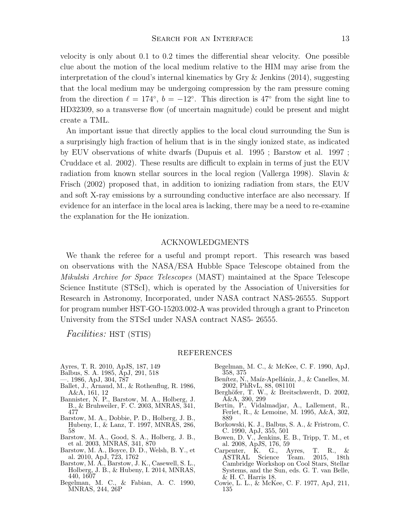velocity is only about 0.1 to 0.2 times the differential shear velocity. One possible clue about the motion of the local medium relative to the HIM may arise from the interpretation of the cloud's internal kinematics by Gry  $\&$  Jenkins (2014), suggesting that the local medium may be undergoing compression by the ram pressure coming from the direction  $\ell = 174^\circ$ ,  $b = -12^\circ$ . This direction is 47° from the sight line to HD32309, so a transverse flow (of uncertain magnitude) could be present and might create a TML.

An important issue that directly applies to the local cloud surrounding the Sun is a surprisingly high fraction of helium that is in the singly ionized state, as indicated by EUV observations of white dwarfs (Dupuis et al. 1995 ; Barstow et al. 1997 ; Cruddace et al. 2002). These results are difficult to explain in terms of just the EUV radiation from known stellar sources in the local region (Vallerga 1998). Slavin & Frisch (2002) proposed that, in addition to ionizing radiation from stars, the EUV and soft X-ray emissions by a surrounding conductive interface are also necessary. If evidence for an interface in the local area is lacking, there may be a need to re-examine the explanation for the He ionization.

## ACKNOWLEDGMENTS

We thank the referee for a useful and prompt report. This research was based on observations with the NASA/ESA Hubble Space Telescope obtained from the Mikulski Archive for Space Telescopes (MAST) maintained at the Space Telescope Science Institute (STScI), which is operated by the Association of Universities for Research in Astronomy, Incorporated, under NASA contract NAS5-26555. Support for program number HST-GO-15203.002-A was provided through a grant to Princeton University from the STScI under NASA contract NAS5- 26555.

Facilities: HST (STIS)

#### REFERENCES

- Ayres, T. R. 2010, ApJS, 187, 149
- Balbus, S. A. 1985, ApJ, 291, 518
- —. 1986, ApJ, 304, 787
- Ballet, J., Arnaud, M., & Rothenflug, R. 1986, A&A, 161, 12
- Bannister, N. P., Barstow, M. A., Holberg, J. B., & Bruhweiler, F. C. 2003, MNRAS, 341, 477
- Barstow, M. A., Dobbie, P. D., Holberg, J. B., Hubeny, I., & Lanz, T. 1997, MNRAS, 286, 58
- Barstow, M. A., Good, S. A., Holberg, J. B., et al. 2003, MNRAS, 341, 870
- Barstow, M. A., Boyce, D. D., Welsh, B. Y., et al. 2010, ApJ, 723, 1762
- Barstow, M. A., Barstow, J. K., Casewell, S. L., Holberg, J. B., & Hubeny, I. 2014, MNRAS, 440, 1607
- Begelman, M. C., & Fabian, A. C. 1990, MNRAS, 244, 26P
- Begelman, M. C., & McKee, C. F. 1990, ApJ, 358, 375
- Benítez, N., Maíz-Apellániz, J., & Canelles, M. 2002, PhRvL, 88, 081101
- Berghöfer, T. W., & Breitschwerdt, D. 2002, A&A, 390, 299
- Bertin, P., Vidalmadjar, A., Lallement, R., Ferlet, R., & Lemoine, M. 1995, A&A, 302, 889
- Borkowski, K. J., Balbus, S. A., & Fristrom, C. C. 1990, ApJ, 355, 501
- Bowen, D. V., Jenkins, E. B., Tripp, T. M., et al. 2008, ApJS, 176, 59
- Carpenter, K. G., Ayres, T. R., &<br>ASTRAL Science Team. 2015, 18th  $\overline{\text{ASTRAL}}$  Science Cambridge Workshop on Cool Stars, Stellar Systems, and the Sun, eds. G. T. van Belle, & H. C. Harris 18.
- Cowie, L. L., & McKee, C. F. 1977, ApJ, 211, 135